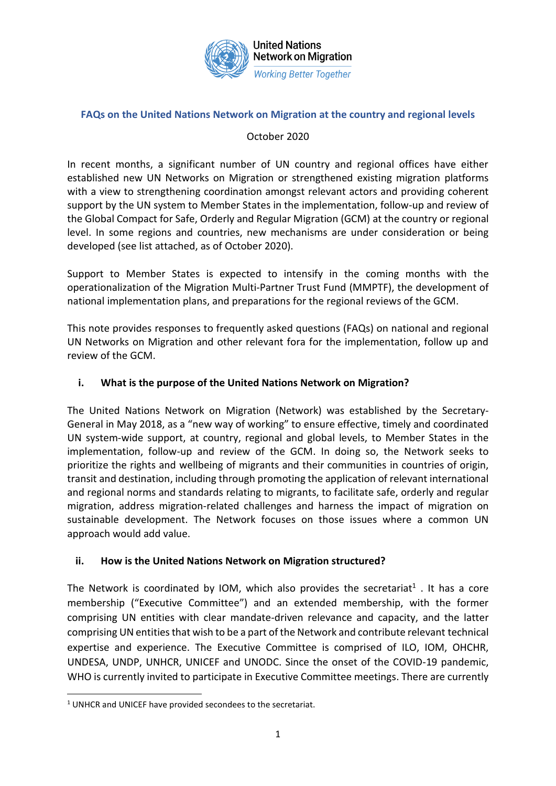

### **FAQs on the United Nations Network on Migration at the country and regional levels**

### October 2020

In recent months, a significant number of UN country and regional offices have either established new UN Networks on Migration or strengthened existing migration platforms with a view to strengthening coordination amongst relevant actors and providing coherent support by the UN system to Member States in the implementation, follow-up and review of the Global Compact for Safe, Orderly and Regular Migration (GCM) at the country or regional level. In some regions and countries, new mechanisms are under consideration or being developed (see list attached, as of October 2020).

Support to Member States is expected to intensify in the coming months with the operationalization of the Migration Multi-Partner Trust Fund (MMPTF), the development of national implementation plans, and preparations for the regional reviews of the GCM.

This note provides responses to frequently asked questions (FAQs) on national and regional UN Networks on Migration and other relevant fora for the implementation, follow up and review of the GCM.

## **i. What is the purpose of the United Nations Network on Migration?**

The United Nations Network on Migration (Network) was established by the Secretary-General in May 2018, as a "new way of working" to ensure effective, timely and coordinated UN system-wide support, at country, regional and global levels, to Member States in the implementation, follow-up and review of the GCM. In doing so, the Network seeks to prioritize the rights and wellbeing of migrants and their communities in countries of origin, transit and destination, including through promoting the application of relevant international and regional norms and standards relating to migrants, to facilitate safe, orderly and regular migration, address migration-related challenges and harness the impact of migration on sustainable development. The Network focuses on those issues where a common UN approach would add value.

#### **ii. How is the United Nations Network on Migration structured?**

The Network is coordinated by IOM, which also provides the secretariat<sup>1</sup>. It has a core membership ("Executive Committee") and an extended membership, with the former comprising UN entities with clear mandate-driven relevance and capacity, and the latter comprising UN entities that wish to be a part of the Network and contribute relevant technical expertise and experience. The Executive Committee is comprised of ILO, IOM, OHCHR, UNDESA, UNDP, UNHCR, UNICEF and UNODC. Since the onset of the COVID-19 pandemic, WHO is currently invited to participate in Executive Committee meetings. There are currently

<sup>&</sup>lt;sup>1</sup> UNHCR and UNICEF have provided secondees to the secretariat.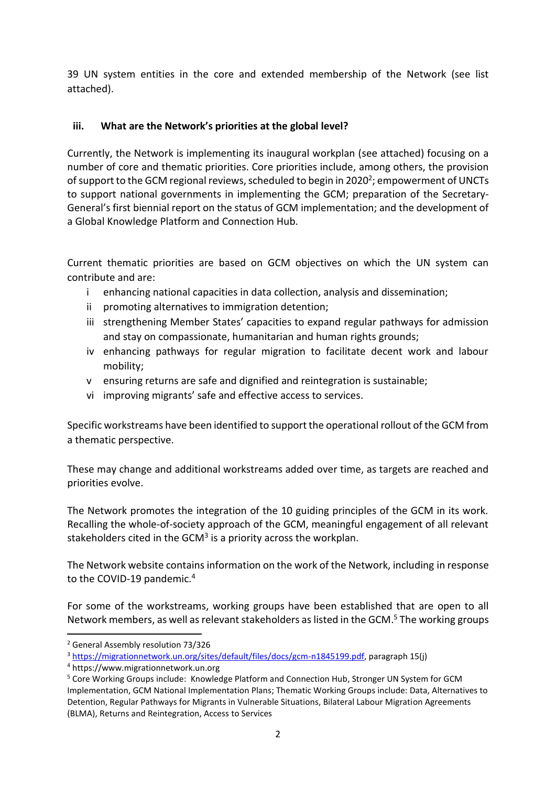39 UN system entities in the core and extended membership of the Network (see list attached).

### **iii. What are the Network's priorities at the global level?**

Currently, the Network is implementing its inaugural workplan (see attached) focusing on a number of core and thematic priorities. Core priorities include, among others, the provision of support to the GCM regional reviews, scheduled to begin in 2020<sup>2</sup>; empowerment of UNCTs to support national governments in implementing the GCM; preparation of the Secretary-General's first biennial report on the status of GCM implementation; and the development of a Global Knowledge Platform and Connection Hub.

Current thematic priorities are based on GCM objectives on which the UN system can contribute and are:

- i enhancing national capacities in data collection, analysis and dissemination;
- ii promoting alternatives to immigration detention;
- iii strengthening Member States' capacities to expand regular pathways for admission and stay on compassionate, humanitarian and human rights grounds;
- iv enhancing pathways for regular migration to facilitate decent work and labour mobility;
- v ensuring returns are safe and dignified and reintegration is sustainable;
- vi improving migrants' safe and effective access to services.

Specific workstreams have been identified to support the operational rollout of the GCM from a thematic perspective.

These may change and additional workstreams added over time, as targets are reached and priorities evolve.

The Network promotes the integration of the 10 guiding principles of the GCM in its work. Recalling the whole-of-society approach of the GCM, meaningful engagement of all relevant stakeholders cited in the GCM<sup>3</sup> is a priority across the workplan.

The Network website contains information on the work of the Network, including in response to the COVID-19 pandemic.<sup>4</sup>

For some of the workstreams, working groups have been established that are open to all Network members, as well as relevant stakeholders as listed in the GCM. <sup>5</sup> The working groups

<sup>2</sup> General Assembly resolution 73/326

<sup>3</sup> [https://migrationnetwork.un.org/sites/default/files/docs/gcm-n1845199.pdf,](https://migrationnetwork.un.org/sites/default/files/docs/gcm-n1845199.pdf) paragraph 15(j)

<sup>4</sup> https://www.migrationnetwork.un.org

<sup>5</sup> Core Working Groups include: Knowledge Platform and Connection Hub, Stronger UN System for GCM Implementation, GCM National Implementation Plans; Thematic Working Groups include: Data, Alternatives to Detention, Regular Pathways for Migrants in Vulnerable Situations, Bilateral Labour Migration Agreements (BLMA), Returns and Reintegration, Access to Services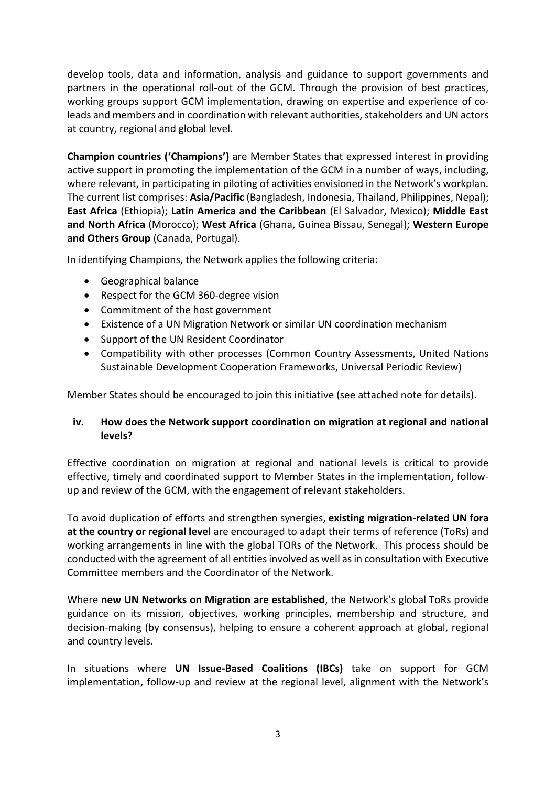develop tools, data and information, analysis and guidance to support governments and partners in the operational roll-out of the GCM. Through the provision of best practices, working groups support GCM implementation, drawing on expertise and experience of coleads and members and in coordination with relevant authorities, stakeholders and UN actors at country, regional and global level.

**Champion countries ('Champions')** are Member States that expressed interest in providing active support in promoting the implementation of the GCM in a number of ways, including, where relevant, in participating in piloting of activities envisioned in the Network's workplan. The current list comprises: **Asia/Pacific** (Bangladesh, Indonesia, Thailand, Philippines, Nepal); **East Africa** (Ethiopia); **Latin America and the Caribbean** (El Salvador, Mexico); **Middle East and North Africa** (Morocco); **West Africa** (Ghana, Guinea Bissau, Senegal); **Western Europe and Others Group** (Canada, Portugal).

In identifying Champions, the Network applies the following criteria:

- Geographical balance
- Respect for the GCM 360-degree vision
- Commitment of the host government
- Existence of a UN Migration Network or similar UN coordination mechanism
- Support of the UN Resident Coordinator
- Compatibility with other processes (Common Country Assessments, United Nations Sustainable Development Cooperation Frameworks, Universal Periodic Review)

Member States should be encouraged to join this initiative (see attached note for details).

#### **iv. How does the Network support coordination on migration at regional and national levels?**

Effective coordination on migration at regional and national levels is critical to provide effective, timely and coordinated support to Member States in the implementation, followup and review of the GCM, with the engagement of relevant stakeholders.

To avoid duplication of efforts and strengthen synergies, **existing migration-related UN fora at the country or regional level** are encouraged to adapt their terms of reference (ToRs) and working arrangements in line with the global TORs of the Network. This process should be conducted with the agreement of all entities involved as well as in consultation with Executive Committee members and the Coordinator of the Network.

Where **new UN Networks on Migration are established**, the Network's global ToRs provide guidance on its mission, objectives, working principles, membership and structure, and decision-making (by consensus), helping to ensure a coherent approach at global, regional and country levels.

In situations where **UN Issue-Based Coalitions (IBCs)** take on support for GCM implementation, follow-up and review at the regional level, alignment with the Network's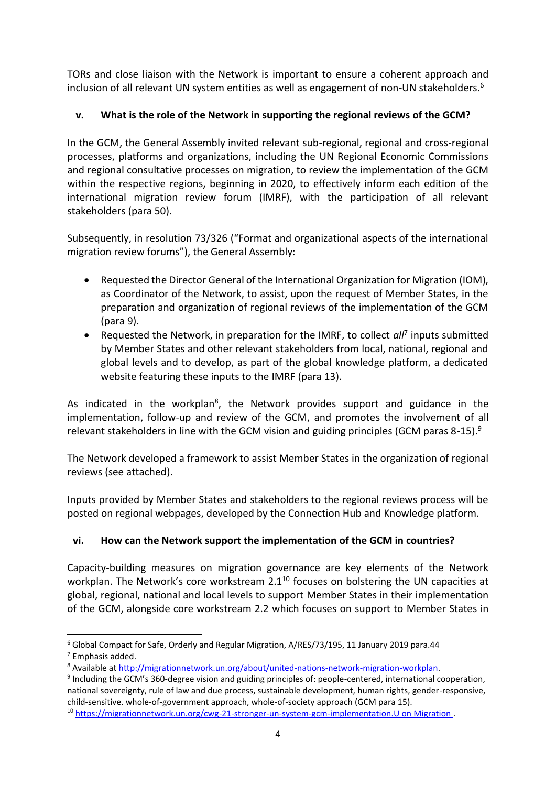TORs and close liaison with the Network is important to ensure a coherent approach and inclusion of all relevant UN system entities as well as engagement of non-UN stakeholders. 6

# **v. What is the role of the Network in supporting the regional reviews of the GCM?**

In the GCM, the General Assembly invited relevant sub-regional, regional and cross-regional processes, platforms and organizations, including the UN Regional Economic Commissions and regional consultative processes on migration, to review the implementation of the GCM within the respective regions, beginning in 2020, to effectively inform each edition of the international migration review forum (IMRF), with the participation of all relevant stakeholders (para 50).

Subsequently, in resolution 73/326 ("Format and organizational aspects of the international migration review forums"), the General Assembly:

- Requested the Director General of the International Organization for Migration (IOM), as Coordinator of the Network, to assist, upon the request of Member States, in the preparation and organization of regional reviews of the implementation of the GCM (para 9).
- Requested the Network, in preparation for the IMRF, to collect all<sup>7</sup> inputs submitted by Member States and other relevant stakeholders from local, national, regional and global levels and to develop, as part of the global knowledge platform, a dedicated website featuring these inputs to the IMRF (para 13).

As indicated in the workplan<sup>8</sup>, the Network provides support and guidance in the implementation, follow-up and review of the GCM, and promotes the involvement of all relevant stakeholders in line with the GCM vision and guiding principles (GCM paras 8-15).<sup>9</sup>

The Network developed a framework to assist Member States in the organization of regional reviews (see attached).

Inputs provided by Member States and stakeholders to the regional reviews process will be posted on regional webpages, developed by the Connection Hub and Knowledge platform.

## **vi. How can the Network support the implementation of the GCM in countries?**

Capacity-building measures on migration governance are key elements of the Network workplan. The Network's core workstream 2.1<sup>10</sup> focuses on bolstering the UN capacities at global, regional, national and local levels to support Member States in their implementation of the GCM, alongside core workstream 2.2 which focuses on support to Member States in

<sup>6</sup> Global Compact for Safe, Orderly and Regular Migration, A/RES/73/195, 11 January 2019 para.44 <sup>7</sup> Emphasis added.

<sup>8</sup> Available at [http://migrationnetwork.un.org/about/united-nations-network-migration-workplan.](http://migrationnetwork.un.org/about/united-nations-network-migration-workplan)

<sup>&</sup>lt;sup>9</sup> Including the GCM's 360-degree vision and guiding principles of: people-centered, international cooperation, national sovereignty, rule of law and due process, sustainable development, human rights, gender-responsive, child-sensitive. whole-of-government approach, whole-of-society approach (GCM para 15).

<sup>10</sup> <https://migrationnetwork.un.org/cwg-21-stronger-un-system-gcm-implementation>[.U on Migration .](https://migrationnetwork.un.org/sites/default/files/documents/final_nw_workplan.pdf)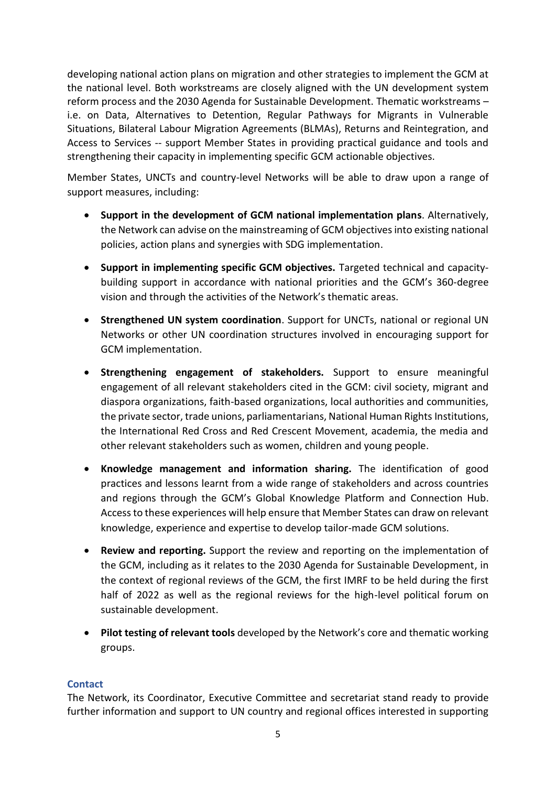developing national action plans on migration and other strategies to implement the GCM at the national level. Both workstreams are closely aligned with the UN development system reform process and the 2030 Agenda for Sustainable Development. Thematic workstreams – i.e. on Data, Alternatives to Detention, Regular Pathways for Migrants in Vulnerable Situations, Bilateral Labour Migration Agreements (BLMAs), Returns and Reintegration, and Access to Services -- support Member States in providing practical guidance and tools and strengthening their capacity in implementing specific GCM actionable objectives.

Member States, UNCTs and country-level Networks will be able to draw upon a range of support measures, including:

- **Support in the development of GCM national implementation plans**. Alternatively, the Network can advise on the mainstreaming of GCM objectives into existing national policies, action plans and synergies with SDG implementation.
- **Support in implementing specific GCM objectives.** Targeted technical and capacitybuilding support in accordance with national priorities and the GCM's 360-degree vision and through the activities of the Network's thematic areas.
- **Strengthened UN system coordination**. Support for UNCTs, national or regional UN Networks or other UN coordination structures involved in encouraging support for GCM implementation.
- **Strengthening engagement of stakeholders.** Support to ensure meaningful engagement of all relevant stakeholders cited in the GCM: civil society, migrant and diaspora organizations, faith-based organizations, local authorities and communities, the private sector, trade unions, parliamentarians, National Human Rights Institutions, the International Red Cross and Red Crescent Movement, academia, the media and other relevant stakeholders such as women, children and young people.
- **Knowledge management and information sharing.** The identification of good practices and lessons learnt from a wide range of stakeholders and across countries and regions through the GCM's Global Knowledge Platform and Connection Hub. Access to these experiences will help ensure that Member States can draw on relevant knowledge, experience and expertise to develop tailor-made GCM solutions.
- **Review and reporting.** Support the review and reporting on the implementation of the GCM, including as it relates to the 2030 Agenda for Sustainable Development, in the context of regional reviews of the GCM, the first IMRF to be held during the first half of 2022 as well as the regional reviews for the high-level political forum on sustainable development.
- **Pilot testing of relevant tools** developed by the Network's core and thematic working groups.

#### **Contact**

The Network, its Coordinator, Executive Committee and secretariat stand ready to provide further information and support to UN country and regional offices interested in supporting